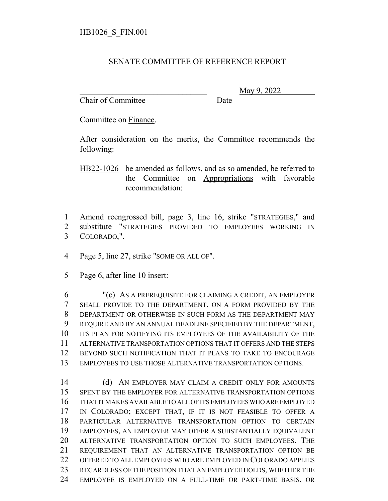## SENATE COMMITTEE OF REFERENCE REPORT

Chair of Committee Date

\_\_\_\_\_\_\_\_\_\_\_\_\_\_\_\_\_\_\_\_\_\_\_\_\_\_\_\_\_\_\_ May 9, 2022

Committee on Finance.

After consideration on the merits, the Committee recommends the following:

HB22-1026 be amended as follows, and as so amended, be referred to the Committee on Appropriations with favorable recommendation:

 Amend reengrossed bill, page 3, line 16, strike "STRATEGIES," and substitute "STRATEGIES PROVIDED TO EMPLOYEES WORKING IN COLORADO,".

Page 5, line 27, strike "SOME OR ALL OF".

Page 6, after line 10 insert:

 "(c) AS A PREREQUISITE FOR CLAIMING A CREDIT, AN EMPLOYER SHALL PROVIDE TO THE DEPARTMENT, ON A FORM PROVIDED BY THE DEPARTMENT OR OTHERWISE IN SUCH FORM AS THE DEPARTMENT MAY REQUIRE AND BY AN ANNUAL DEADLINE SPECIFIED BY THE DEPARTMENT, ITS PLAN FOR NOTIFYING ITS EMPLOYEES OF THE AVAILABILITY OF THE ALTERNATIVE TRANSPORTATION OPTIONS THAT IT OFFERS AND THE STEPS BEYOND SUCH NOTIFICATION THAT IT PLANS TO TAKE TO ENCOURAGE EMPLOYEES TO USE THOSE ALTERNATIVE TRANSPORTATION OPTIONS.

14 (d) AN EMPLOYER MAY CLAIM A CREDIT ONLY FOR AMOUNTS SPENT BY THE EMPLOYER FOR ALTERNATIVE TRANSPORTATION OPTIONS THAT IT MAKES AVAILABLE TO ALL OF ITS EMPLOYEES WHO ARE EMPLOYED IN COLORADO; EXCEPT THAT, IF IT IS NOT FEASIBLE TO OFFER A PARTICULAR ALTERNATIVE TRANSPORTATION OPTION TO CERTAIN EMPLOYEES, AN EMPLOYER MAY OFFER A SUBSTANTIALLY EQUIVALENT ALTERNATIVE TRANSPORTATION OPTION TO SUCH EMPLOYEES. THE REQUIREMENT THAT AN ALTERNATIVE TRANSPORTATION OPTION BE OFFERED TO ALL EMPLOYEES WHO ARE EMPLOYED IN COLORADO APPLIES REGARDLESS OF THE POSITION THAT AN EMPLOYEE HOLDS, WHETHER THE EMPLOYEE IS EMPLOYED ON A FULL-TIME OR PART-TIME BASIS, OR